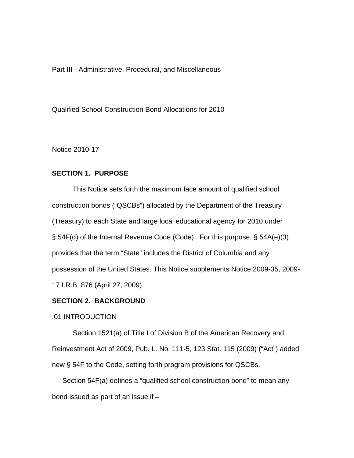Part III - Administrative, Procedural, and Miscellaneous

Qualified School Construction Bond Allocations for 2010

Notice 2010-17

## **SECTION 1. PURPOSE**

This Notice sets forth the maximum face amount of qualified school construction bonds ("QSCBs") allocated by the Department of the Treasury (Treasury) to each State and large local educational agency for 2010 under § 54F(d) of the Internal Revenue Code (Code). For this purpose, § 54A(e)(3) provides that the term "State" includes the District of Columbia and any possession of the United States. This Notice supplements Notice 2009-35, 2009- 17 I.R.B. 876 (April 27, 2009).

#### **SECTION 2. BACKGROUND**

#### .01 INTRODUCTION

Section 1521(a) of Title I of Division B of the American Recovery and Reinvestment Act of 2009, Pub. L. No. 111-5, 123 Stat. 115 (2009) ("Act") added new § 54F to the Code, setting forth program provisions for QSCBs.

Section 54F(a) defines a "qualified school construction bond" to mean any bond issued as part of an issue if –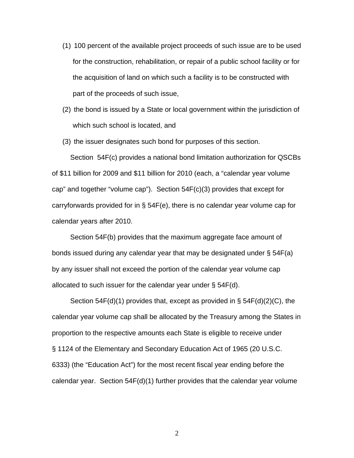- (1) 100 percent of the available project proceeds of such issue are to be used for the construction, rehabilitation, or repair of a public school facility or for the acquisition of land on which such a facility is to be constructed with part of the proceeds of such issue,
- (2) the bond is issued by a State or local government within the jurisdiction of which such school is located, and

(3) the issuer designates such bond for purposes of this section.

Section 54F(c) provides a national bond limitation authorization for QSCBs of \$11 billion for 2009 and \$11 billion for 2010 (each, a "calendar year volume cap" and together "volume cap"). Section 54F(c)(3) provides that except for carryforwards provided for in § 54F(e), there is no calendar year volume cap for calendar years after 2010.

Section 54F(b) provides that the maximum aggregate face amount of bonds issued during any calendar year that may be designated under § 54F(a) by any issuer shall not exceed the portion of the calendar year volume cap allocated to such issuer for the calendar year under § 54F(d).

Section 54F(d)(1) provides that, except as provided in §  $54F(d)(2)(C)$ , the calendar year volume cap shall be allocated by the Treasury among the States in proportion to the respective amounts each State is eligible to receive under § 1124 of the Elementary and Secondary Education Act of 1965 (20 U.S.C. 6333) (the "Education Act") for the most recent fiscal year ending before the calendar year. Section 54F(d)(1) further provides that the calendar year volume

2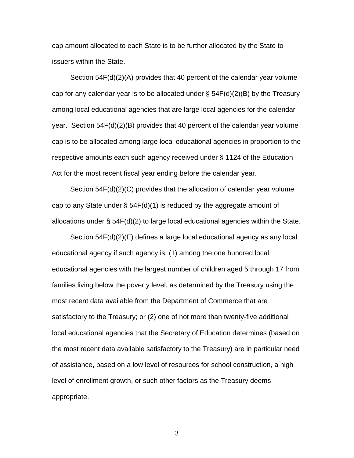cap amount allocated to each State is to be further allocated by the State to issuers within the State.

Section 54F(d)(2)(A) provides that 40 percent of the calendar year volume cap for any calendar year is to be allocated under  $\S$  54F(d)(2)(B) by the Treasury among local educational agencies that are large local agencies for the calendar year. Section 54F(d)(2)(B) provides that 40 percent of the calendar year volume cap is to be allocated among large local educational agencies in proportion to the respective amounts each such agency received under § 1124 of the Education Act for the most recent fiscal year ending before the calendar year.

Section 54F(d)(2)(C) provides that the allocation of calendar year volume cap to any State under  $\S 54F(d)(1)$  is reduced by the aggregate amount of allocations under § 54F(d)(2) to large local educational agencies within the State.

Section 54F(d)(2)(E) defines a large local educational agency as any local educational agency if such agency is: (1) among the one hundred local educational agencies with the largest number of children aged 5 through 17 from families living below the poverty level, as determined by the Treasury using the most recent data available from the Department of Commerce that are satisfactory to the Treasury; or (2) one of not more than twenty-five additional local educational agencies that the Secretary of Education determines (based on the most recent data available satisfactory to the Treasury) are in particular need of assistance, based on a low level of resources for school construction, a high level of enrollment growth, or such other factors as the Treasury deems appropriate.

3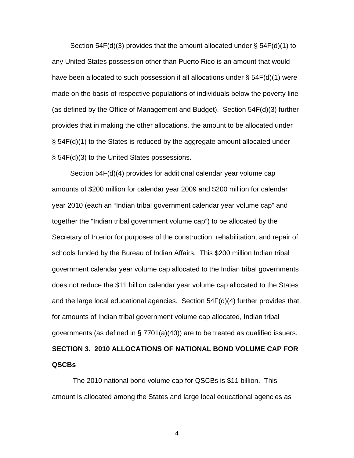Section  $54F(d)(3)$  provides that the amount allocated under §  $54F(d)(1)$  to any United States possession other than Puerto Rico is an amount that would have been allocated to such possession if all allocations under  $\S 54F(d)(1)$  were made on the basis of respective populations of individuals below the poverty line (as defined by the Office of Management and Budget). Section 54F(d)(3) further provides that in making the other allocations, the amount to be allocated under § 54F(d)(1) to the States is reduced by the aggregate amount allocated under § 54F(d)(3) to the United States possessions.

Section 54F(d)(4) provides for additional calendar year volume cap amounts of \$200 million for calendar year 2009 and \$200 million for calendar year 2010 (each an "Indian tribal government calendar year volume cap" and together the "Indian tribal government volume cap") to be allocated by the Secretary of Interior for purposes of the construction, rehabilitation, and repair of schools funded by the Bureau of Indian Affairs. This \$200 million Indian tribal government calendar year volume cap allocated to the Indian tribal governments does not reduce the \$11 billion calendar year volume cap allocated to the States and the large local educational agencies. Section 54F(d)(4) further provides that, for amounts of Indian tribal government volume cap allocated, Indian tribal governments (as defined in § 7701(a)(40)) are to be treated as qualified issuers. **SECTION 3. 2010 ALLOCATIONS OF NATIONAL BOND VOLUME CAP FOR QSCBs** 

The 2010 national bond volume cap for QSCBs is \$11 billion. This amount is allocated among the States and large local educational agencies as

4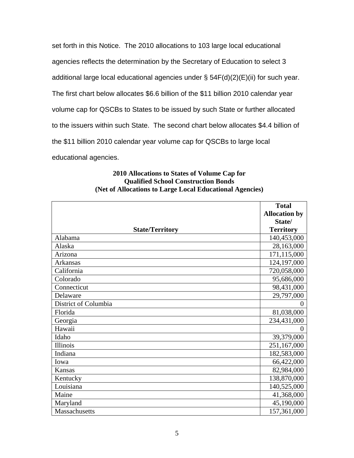set forth in this Notice. The 2010 allocations to 103 large local educational agencies reflects the determination by the Secretary of Education to select 3 additional large local educational agencies under § 54F(d)(2)(E)(ii) for such year. The first chart below allocates \$6.6 billion of the \$11 billion 2010 calendar year volume cap for QSCBs to States to be issued by such State or further allocated to the issuers within such State. The second chart below allocates \$4.4 billion of the \$11 billion 2010 calendar year volume cap for QSCBs to large local educational agencies.

| 2010 Allocations to States of Volume Cap for             |
|----------------------------------------------------------|
| <b>Qualified School Construction Bonds</b>               |
| (Net of Allocations to Large Local Educational Agencies) |

|                        | <b>Total</b>         |
|------------------------|----------------------|
|                        | <b>Allocation by</b> |
|                        | State/               |
| <b>State/Territory</b> | <b>Territory</b>     |
| Alabama                | 140,453,000          |
| Alaska                 | 28,163,000           |
| Arizona                | 171,115,000          |
| Arkansas               | 124,197,000          |
| California             | 720,058,000          |
| Colorado               | 95,686,000           |
| Connecticut            | 98,431,000           |
| Delaware               | 29,797,000           |
| District of Columbia   | 0                    |
| Florida                | 81,038,000           |
| Georgia                | 234,431,000          |
| Hawaii                 | 0                    |
| Idaho                  | 39,379,000           |
| Illinois               | 251,167,000          |
| Indiana                | 182,583,000          |
| Iowa                   | 66,422,000           |
| Kansas                 | 82,984,000           |
| Kentucky               | 138,870,000          |
| Louisiana              | 140,525,000          |
| Maine                  | 41,368,000           |
| Maryland               | 45,190,000           |
| Massachusetts          | 157,361,000          |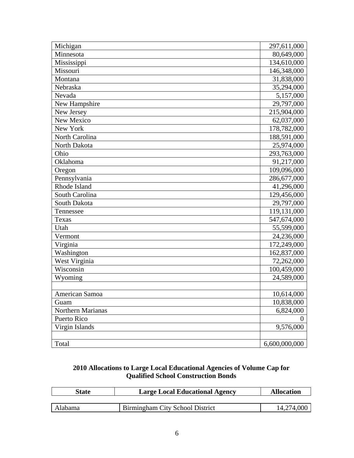| Michigan          | 297,611,000   |
|-------------------|---------------|
| Minnesota         | 80,649,000    |
| Mississippi       | 134,610,000   |
| Missouri          | 146,348,000   |
| Montana           | 31,838,000    |
| Nebraska          | 35,294,000    |
| Nevada            | 5,157,000     |
| New Hampshire     | 29,797,000    |
| New Jersey        | 215,904,000   |
| New Mexico        | 62,037,000    |
| New York          | 178,782,000   |
| North Carolina    | 188,591,000   |
| North Dakota      | 25,974,000    |
| Ohio              | 293,763,000   |
| Oklahoma          | 91,217,000    |
| Oregon            | 109,096,000   |
| Pennsylvania      | 286,677,000   |
| Rhode Island      | 41,296,000    |
| South Carolina    | 129,456,000   |
| South Dakota      | 29,797,000    |
| Tennessee         | 119,131,000   |
| Texas             | 547,674,000   |
| Utah              | 55,599,000    |
| Vermont           | 24,236,000    |
| Virginia          | 172,249,000   |
| Washington        | 162,837,000   |
| West Virginia     | 72,262,000    |
| Wisconsin         | 100,459,000   |
| Wyoming           | 24,589,000    |
|                   |               |
| American Samoa    | 10,614,000    |
| Guam              | 10,838,000    |
| Northern Marianas | 6,824,000     |
| Puerto Rico       |               |
| Virgin Islands    | 9,576,000     |
|                   |               |
| Total             | 6,600,000,000 |

# **2010 Allocations to Large Local Educational Agencies of Volume Cap for Qualified School Construction Bonds**

| State   | <b>Large Local Educational Agency</b> | <b>Allocation</b> |
|---------|---------------------------------------|-------------------|
|         |                                       |                   |
| Alabama | Birmingham City School District       | 14,274,000        |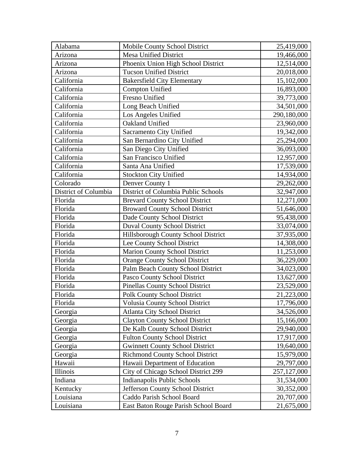| Alabama              | Mobile County School District          | 25,419,000  |
|----------------------|----------------------------------------|-------------|
| Arizona              | <b>Mesa Unified District</b>           | 19,466,000  |
| Arizona              | Phoenix Union High School District     | 12,514,000  |
| Arizona              | <b>Tucson Unified District</b>         | 20,018,000  |
| California           | <b>Bakersfield City Elementary</b>     | 15,102,000  |
| California           | Compton Unified                        | 16,893,000  |
| California           | Fresno Unified                         | 39,773,000  |
| California           | Long Beach Unified                     | 34,501,000  |
| California           | Los Angeles Unified                    | 290,180,000 |
| California           | Oakland Unified                        | 23,960,000  |
| California           | Sacramento City Unified                | 19,342,000  |
| California           | San Bernardino City Unified            | 25,294,000  |
| California           | San Diego City Unified                 | 36,093,000  |
| California           | San Francisco Unified                  | 12,957,000  |
| California           | Santa Ana Unified                      | 17,539,000  |
| California           | <b>Stockton City Unified</b>           | 14,934,000  |
| Colorado             | Denver County 1                        | 29,262,000  |
| District of Columbia | District of Columbia Public Schools    | 32,947,000  |
| Florida              | <b>Brevard County School District</b>  | 12,271,000  |
| Florida              | <b>Broward County School District</b>  | 51,646,000  |
| Florida              | Dade County School District            | 95,438,000  |
| Florida              | <b>Duval County School District</b>    | 33,074,000  |
| Florida              | Hillsborough County School District    | 37,935,000  |
| Florida              | Lee County School District             | 14,308,000  |
| Florida              | Marion County School District          | 11,253,000  |
| Florida              | <b>Orange County School District</b>   | 36,229,000  |
| Florida              | Palm Beach County School District      | 34,023,000  |
| Florida              | Pasco County School District           | 13,627,000  |
| Florida              | Pinellas County School District        | 23,529,000  |
| Florida              | Polk County School District            | 21,223,000  |
| Florida              | Volusia County School District         | 17,796,000  |
| Georgia              | <b>Atlanta City School District</b>    | 34,526,000  |
| Georgia              | <b>Clayton County School District</b>  | 15,166,000  |
| Georgia              | De Kalb County School District         | 29,940,000  |
| Georgia              | <b>Fulton County School District</b>   | 17,917,000  |
| Georgia              | <b>Gwinnett County School District</b> | 19,640,000  |
| Georgia              | <b>Richmond County School District</b> | 15,979,000  |
| Hawaii               | Hawaii Department of Education         | 29,797,000  |
| Illinois             | City of Chicago School District 299    | 257,127,000 |
| Indiana              | Indianapolis Public Schools            | 31,534,000  |
| Kentucky             | Jefferson County School District       | 30,352,000  |
| Louisiana            | Caddo Parish School Board              | 20,707,000  |
| Louisiana            | East Baton Rouge Parish School Board   | 21,675,000  |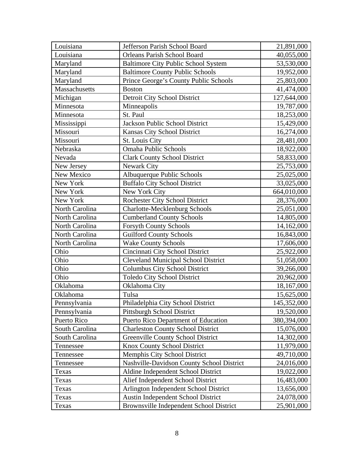| Louisiana      | Jefferson Parish School Board              | 21,891,000  |
|----------------|--------------------------------------------|-------------|
| Louisiana      | <b>Orleans Parish School Board</b>         | 40,055,000  |
| Maryland       | <b>Baltimore City Public School System</b> | 53,530,000  |
| Maryland       | <b>Baltimore County Public Schools</b>     | 19,952,000  |
| Maryland       | Prince George's County Public Schools      | 25,803,000  |
| Massachusetts  | <b>Boston</b>                              | 41,474,000  |
| Michigan       | Detroit City School District               | 127,644,000 |
| Minnesota      | Minneapolis                                | 19,787,000  |
| Minnesota      | St. Paul                                   | 18,253,000  |
| Mississippi    | Jackson Public School District             | 15,429,000  |
| Missouri       | Kansas City School District                | 16,274,000  |
| Missouri       | St. Louis City                             | 28,481,000  |
| Nebraska       | <b>Omaha Public Schools</b>                | 18,922,000  |
| Nevada         | <b>Clark County School District</b>        | 58,833,000  |
| New Jersey     | Newark City                                | 25,753,000  |
| New Mexico     | Albuquerque Public Schools                 | 25,025,000  |
| New York       | <b>Buffalo City School District</b>        | 33,025,000  |
| New York       | New York City                              | 664,010,000 |
| New York       | Rochester City School District             | 28,376,000  |
| North Carolina | <b>Charlotte-Mecklenburg Schools</b>       | 25,051,000  |
| North Carolina | <b>Cumberland County Schools</b>           | 14,805,000  |
| North Carolina | <b>Forsyth County Schools</b>              | 14,162,000  |
| North Carolina | <b>Guilford County Schools</b>             | 16,843,000  |
| North Carolina | <b>Wake County Schools</b>                 | 17,606,000  |
| Ohio           | Cincinnati City School District            | 25,922,000  |
| Ohio           | <b>Cleveland Municipal School District</b> | 51,058,000  |
| Ohio           | Columbus City School District              | 39,266,000  |
| Ohio           | <b>Toledo City School District</b>         | 20,962,000  |
| Oklahoma       | Oklahoma City                              | 18,167,000  |
| Oklahoma       | Tulsa                                      | 15,625,000  |
| Pennsylvania   | Philadelphia City School District          | 145,352,000 |
| Pennsylvania   | <b>Pittsburgh School District</b>          | 19,520,000  |
| Puerto Rico    | Puerto Rico Department of Education        | 380,394,000 |
| South Carolina | <b>Charleston County School District</b>   | 15,076,000  |
| South Carolina | <b>Greenville County School District</b>   | 14,302,000  |
| Tennessee      | Knox County School District                | 11,979,000  |
| Tennessee      | Memphis City School District               | 49,710,000  |
| Tennessee      | Nashville-Davidson County School District  | 24,016,000  |
| Texas          | Aldine Independent School District         | 19,022,000  |
| Texas          | Alief Independent School District          | 16,483,000  |
| Texas          | Arlington Independent School District      | 13,656,000  |
| Texas          | Austin Independent School District         | 24,078,000  |
| Texas          | Brownsville Independent School District    | 25,901,000  |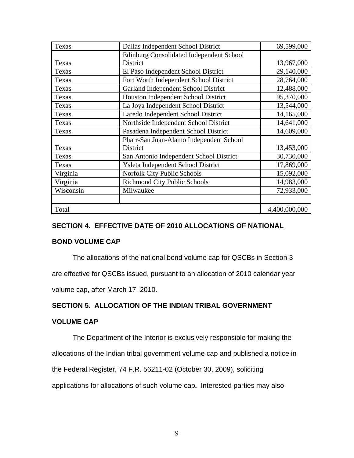| Texas     | Dallas Independent School District       | 69,599,000    |
|-----------|------------------------------------------|---------------|
|           | Edinburg Consolidated Independent School |               |
| Texas     | District                                 | 13,967,000    |
| Texas     | El Paso Independent School District      | 29,140,000    |
| Texas     | Fort Worth Independent School District   | 28,764,000    |
| Texas     | Garland Independent School District      | 12,488,000    |
| Texas     | Houston Independent School District      | 95,370,000    |
| Texas     | La Joya Independent School District      | 13,544,000    |
| Texas     | Laredo Independent School District       | 14,165,000    |
| Texas     | Northside Independent School District    | 14,641,000    |
| Texas     | Pasadena Independent School District     | 14,609,000    |
|           | Pharr-San Juan-Alamo Independent School  |               |
| Texas     | District                                 | 13,453,000    |
| Texas     | San Antonio Independent School District  | 30,730,000    |
| Texas     | Ysleta Independent School District       | 17,869,000    |
| Virginia  | Norfolk City Public Schools              | 15,092,000    |
| Virginia  | <b>Richmond City Public Schools</b>      | 14,983,000    |
| Wisconsin | Milwaukee                                | 72,933,000    |
|           |                                          |               |
| Total     |                                          | 4,400,000,000 |

# **SECTION 4. EFFECTIVE DATE OF 2010 ALLOCATIONS OF NATIONAL**

### **BOND VOLUME CAP**

The allocations of the national bond volume cap for QSCBs in Section 3

are effective for QSCBs issued, pursuant to an allocation of 2010 calendar year

volume cap, after March 17, 2010.

# **SECTION 5. ALLOCATION OF THE INDIAN TRIBAL GOVERNMENT**

## **VOLUME CAP**

The Department of the Interior is exclusively responsible for making the

allocations of the Indian tribal government volume cap and published a notice in

the Federal Register, 74 F.R. 56211-02 (October 30, 2009), soliciting

applications for allocations of such volume cap**.** Interested parties may also